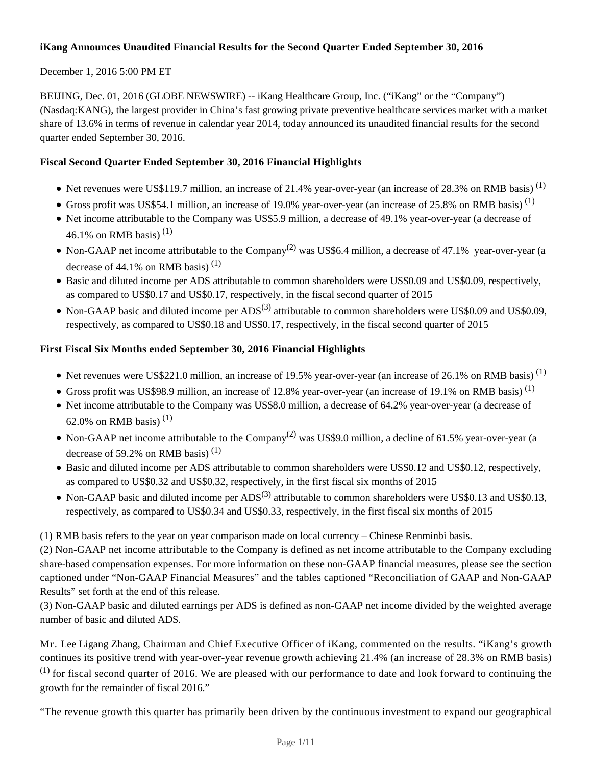# **iKang Announces Unaudited Financial Results for the Second Quarter Ended September 30, 2016**

# December 1, 2016 5:00 PM ET

BEIJING, Dec. 01, 2016 (GLOBE NEWSWIRE) -- iKang Healthcare Group, Inc. ("iKang" or the "Company") (Nasdaq:KANG), the largest provider in China's fast growing private preventive healthcare services market with a market share of 13.6% in terms of revenue in calendar year 2014, today announced its unaudited financial results for the second quarter ended September 30, 2016.

# **Fiscal Second Quarter Ended September 30, 2016 Financial Highlights**

- Net revenues were US\$119.7 million, an increase of 21.4% year-over-year (an increase of 28.3% on RMB basis)<sup>(1)</sup>
- Gross profit was US\$54.1 million, an increase of 19.0% year-over-year (an increase of 25.8% on RMB basis)<sup>(1)</sup>
- Net income attributable to the Company was US\$5.9 million, a decrease of 49.1% year-over-year (a decrease of 46.1% on RMB basis)<sup>(1)</sup>
- Non-GAAP net income attributable to the Company<sup>(2)</sup> was US\$6.4 million, a decrease of 47.1% year-over-year (a decrease of 44.1% on RMB basis)<sup>(1)</sup>
- Basic and diluted income per ADS attributable to common shareholders were US\$0.09 and US\$0.09, respectively, as compared to US\$0.17 and US\$0.17, respectively, in the fiscal second quarter of 2015
- Non-GAAP basic and diluted income per  $ADS^{(3)}$  attributable to common shareholders were US\$0.09 and US\$0.09. respectively, as compared to US\$0.18 and US\$0.17, respectively, in the fiscal second quarter of 2015

# **First Fiscal Six Months ended September 30, 2016 Financial Highlights**

- $\bullet$  Net revenues were US\$221.0 million, an increase of 19.5% year-over-year (an increase of 26.1% on RMB basis)<sup>(1)</sup>
- Gross profit was US\$98.9 million, an increase of 12.8% year-over-year (an increase of 19.1% on RMB basis)<sup>(1)</sup>
- Net income attributable to the Company was US\$8.0 million, a decrease of 64.2% year-over-year (a decrease of 62.0% on RMB basis)<sup>(1)</sup>
- Non-GAAP net income attributable to the Company<sup>(2)</sup> was US\$9.0 million, a decline of 61.5% year-over-year (a decrease of 59.2% on RMB basis)<sup>(1)</sup>
- Basic and diluted income per ADS attributable to common shareholders were US\$0.12 and US\$0.12, respectively, as compared to US\$0.32 and US\$0.32, respectively, in the first fiscal six months of 2015
- Non-GAAP basic and diluted income per  $ADS^{(3)}$  attributable to common shareholders were US\$0.13 and US\$0.13, respectively, as compared to US\$0.34 and US\$0.33, respectively, in the first fiscal six months of 2015

(1) RMB basis refers to the year on year comparison made on local currency – Chinese Renminbi basis.

(2) Non-GAAP net income attributable to the Company is defined as net income attributable to the Company excluding share-based compensation expenses. For more information on these non-GAAP financial measures, please see the section captioned under "Non-GAAP Financial Measures" and the tables captioned "Reconciliation of GAAP and Non-GAAP Results" set forth at the end of this release.

(3) Non-GAAP basic and diluted earnings per ADS is defined as non-GAAP net income divided by the weighted average number of basic and diluted ADS.

Mr. Lee Ligang Zhang, Chairman and Chief Executive Officer of iKang, commented on the results. "iKang's growth continues its positive trend with year-over-year revenue growth achieving 21.4% (an increase of 28.3% on RMB basis)  $<sup>(1)</sup>$  for fiscal second quarter of 2016. We are pleased with our performance to date and look forward to continuing the</sup> growth for the remainder of fiscal 2016."

"The revenue growth this quarter has primarily been driven by the continuous investment to expand our geographical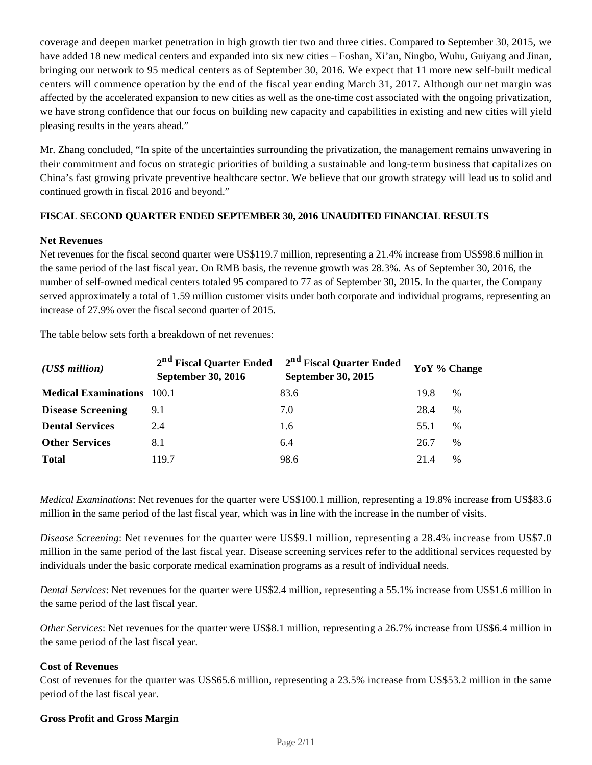coverage and deepen market penetration in high growth tier two and three cities. Compared to September 30, 2015, we have added 18 new medical centers and expanded into six new cities – Foshan, Xi'an, Ningbo, Wuhu, Guiyang and Jinan, bringing our network to 95 medical centers as of September 30, 2016. We expect that 11 more new self-built medical centers will commence operation by the end of the fiscal year ending March 31, 2017. Although our net margin was affected by the accelerated expansion to new cities as well as the one-time cost associated with the ongoing privatization, we have strong confidence that our focus on building new capacity and capabilities in existing and new cities will yield pleasing results in the years ahead."

Mr. Zhang concluded, "In spite of the uncertainties surrounding the privatization, the management remains unwavering in their commitment and focus on strategic priorities of building a sustainable and long-term business that capitalizes on China's fast growing private preventive healthcare sector. We believe that our growth strategy will lead us to solid and continued growth in fiscal 2016 and beyond."

# **FISCAL SECOND QUARTER ENDED SEPTEMBER 30, 2016 UNAUDITED FINANCIAL RESULTS**

#### **Net Revenues**

Net revenues for the fiscal second quarter were US\$119.7 million, representing a 21.4% increase from US\$98.6 million in the same period of the last fiscal year*.* On RMB basis, the revenue growth was 28.3%. As of September 30, 2016, the number of self-owned medical centers totaled 95 compared to 77 as of September 30, 2015. In the quarter, the Company served approximately a total of 1.59 million customer visits under both corporate and individual programs, representing an increase of 27.9% over the fiscal second quarter of 2015.

The table below sets forth a breakdown of net revenues:

| $(US\$ s million            | 2 <sup>nd</sup> Fiscal Quarter Ended<br>September 30, 2016 | 2 <sup>nd</sup> Fiscal Quarter Ended<br><b>September 30, 2015</b> |      | YoY % Change |
|-----------------------------|------------------------------------------------------------|-------------------------------------------------------------------|------|--------------|
| <b>Medical Examinations</b> | 100.1                                                      | 83.6                                                              | 19.8 | %            |
| <b>Disease Screening</b>    | 9.1                                                        | 7.0                                                               | 28.4 | $\%$         |
| <b>Dental Services</b>      | 2.4                                                        | 1.6                                                               | 55.1 | $\%$         |
| <b>Other Services</b>       | 8.1                                                        | 6.4                                                               | 26.7 | $\%$         |
| <b>Total</b>                | 119.7                                                      | 98.6                                                              | 214  | $\%$         |

*Medical Examinations*: Net revenues for the quarter were US\$100.1 million, representing a 19.8% increase from US\$83.6 million in the same period of the last fiscal year, which was in line with the increase in the number of visits.

*Disease Screening*: Net revenues for the quarter were US\$9.1 million, representing a 28.4% increase from US\$7.0 million in the same period of the last fiscal year. Disease screening services refer to the additional services requested by individuals under the basic corporate medical examination programs as a result of individual needs.

*Dental Services*: Net revenues for the quarter were US\$2.4 million, representing a 55.1% increase from US\$1.6 million in the same period of the last fiscal year.

*Other Services*: Net revenues for the quarter were US\$8.1 million, representing a 26.7% increase from US\$6.4 million in the same period of the last fiscal year.

#### **Cost of Revenues**

Cost of revenues for the quarter was US\$65.6 million, representing a 23.5% increase from US\$53.2 million in the same period of the last fiscal year.

#### **Gross Profit and Gross Margin**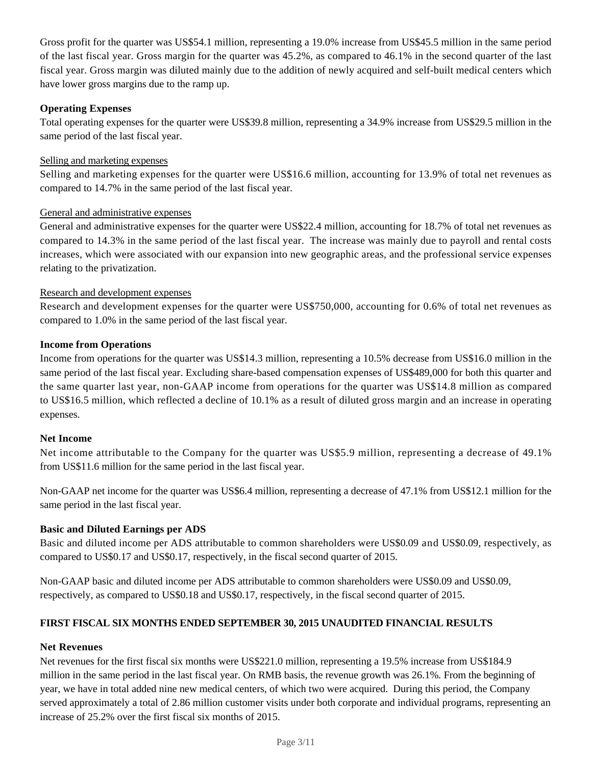Gross profit for the quarter was US\$54.1 million, representing a 19.0% increase from US\$45.5 million in the same period of the last fiscal year. Gross margin for the quarter was 45.2%, as compared to 46.1% in the second quarter of the last fiscal year. Gross margin was diluted mainly due to the addition of newly acquired and self-built medical centers which have lower gross margins due to the ramp up.

## **Operating Expenses**

Total operating expenses for the quarter were US\$39.8 million, representing a 34.9% increase from US\$29.5 million in the same period of the last fiscal year.

### Selling and marketing expenses

Selling and marketing expenses for the quarter were US\$16.6 million, accounting for 13.9% of total net revenues as compared to 14.7% in the same period of the last fiscal year.

#### General and administrative expenses

General and administrative expenses for the quarter were US\$22.4 million, accounting for 18.7% of total net revenues as compared to 14.3% in the same period of the last fiscal year. The increase was mainly due to payroll and rental costs increases, which were associated with our expansion into new geographic areas, and the professional service expenses relating to the privatization.

#### Research and development expenses

Research and development expenses for the quarter were US\$750,000, accounting for 0.6% of total net revenues as compared to 1.0% in the same period of the last fiscal year.

#### **Income from Operations**

Income from operations for the quarter was US\$14.3 million, representing a 10.5% decrease from US\$16.0 million in the same period of the last fiscal year. Excluding share-based compensation expenses of US\$489,000 for both this quarter and the same quarter last year, non-GAAP income from operations for the quarter was US\$14.8 million as compared to US\$16.5 million, which reflected a decline of 10.1% as a result of diluted gross margin and an increase in operating expenses.

#### **Net Income**

Net income attributable to the Company for the quarter was US\$5.9 million, representing a decrease of 49.1% from US\$11.6 million for the same period in the last fiscal year.

Non-GAAP net income for the quarter was US\$6.4 million, representing a decrease of 47.1% from US\$12.1 million for the same period in the last fiscal year.

#### **Basic and Diluted Earnings per ADS**

Basic and diluted income per ADS attributable to common shareholders were US\$0.09 and US\$0.09, respectively, as compared to US\$0.17 and US\$0.17, respectively, in the fiscal second quarter of 2015.

Non-GAAP basic and diluted income per ADS attributable to common shareholders were US\$0.09 and US\$0.09, respectively, as compared to US\$0.18 and US\$0.17, respectively, in the fiscal second quarter of 2015.

#### **FIRST FISCAL SIX MONTHS ENDED SEPTEMBER 30, 2015 UNAUDITED FINANCIAL RESULTS**

#### **Net Revenues**

Net revenues for the first fiscal six months were US\$221.0 million, representing a 19.5% increase from US\$184.9 million in the same period in the last fiscal year. On RMB basis, the revenue growth was 26.1%*.* From the beginning of year, we have in total added nine new medical centers, of which two were acquired. During this period, the Company served approximately a total of 2.86 million customer visits under both corporate and individual programs, representing an increase of 25.2% over the first fiscal six months of 2015.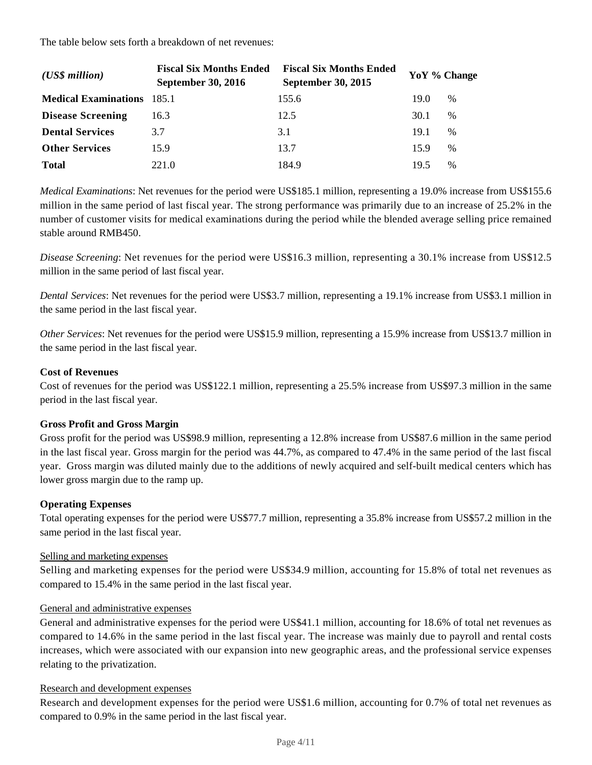The table below sets forth a breakdown of net revenues:

| $(US\$ s million            | <b>Fiscal Six Months Ended</b><br><b>September 30, 2016</b> | <b>Fiscal Six Months Ended</b><br><b>September 30, 2015</b> | YoY % Change |      |
|-----------------------------|-------------------------------------------------------------|-------------------------------------------------------------|--------------|------|
| <b>Medical Examinations</b> | 185.1                                                       | 155.6                                                       | 19.0         | %    |
| <b>Disease Screening</b>    | 16.3                                                        | 12.5                                                        | 30.1         | $\%$ |
| <b>Dental Services</b>      | 3.7                                                         | 3.1                                                         | 19.1         | $\%$ |
| <b>Other Services</b>       | 15.9                                                        | 13.7                                                        | 15.9         | $\%$ |
| <b>Total</b>                | 221.0                                                       | 184.9                                                       | 19.5         | %    |

*Medical Examinations*: Net revenues for the period were US\$185.1 million, representing a 19.0% increase from US\$155.6 million in the same period of last fiscal year. The strong performance was primarily due to an increase of 25.2% in the number of customer visits for medical examinations during the period while the blended average selling price remained stable around RMB450.

*Disease Screening*: Net revenues for the period were US\$16.3 million, representing a 30.1% increase from US\$12.5 million in the same period of last fiscal year.

*Dental Services*: Net revenues for the period were US\$3.7 million, representing a 19.1% increase from US\$3.1 million in the same period in the last fiscal year.

*Other Services*: Net revenues for the period were US\$15.9 million, representing a 15.9% increase from US\$13.7 million in the same period in the last fiscal year.

## **Cost of Revenues**

Cost of revenues for the period was US\$122.1 million, representing a 25.5% increase from US\$97.3 million in the same period in the last fiscal year.

#### **Gross Profit and Gross Margin**

Gross profit for the period was US\$98.9 million, representing a 12.8% increase from US\$87.6 million in the same period in the last fiscal year. Gross margin for the period was 44.7%, as compared to 47.4% in the same period of the last fiscal year. Gross margin was diluted mainly due to the additions of newly acquired and self-built medical centers which has lower gross margin due to the ramp up.

#### **Operating Expenses**

Total operating expenses for the period were US\$77.7 million, representing a 35.8% increase from US\$57.2 million in the same period in the last fiscal year.

#### Selling and marketing expenses

Selling and marketing expenses for the period were US\$34.9 million, accounting for 15.8% of total net revenues as compared to 15.4% in the same period in the last fiscal year.

#### General and administrative expenses

General and administrative expenses for the period were US\$41.1 million, accounting for 18.6% of total net revenues as compared to 14.6% in the same period in the last fiscal year. The increase was mainly due to payroll and rental costs increases, which were associated with our expansion into new geographic areas, and the professional service expenses relating to the privatization.

#### Research and development expenses

Research and development expenses for the period were US\$1.6 million, accounting for 0.7% of total net revenues as compared to 0.9% in the same period in the last fiscal year.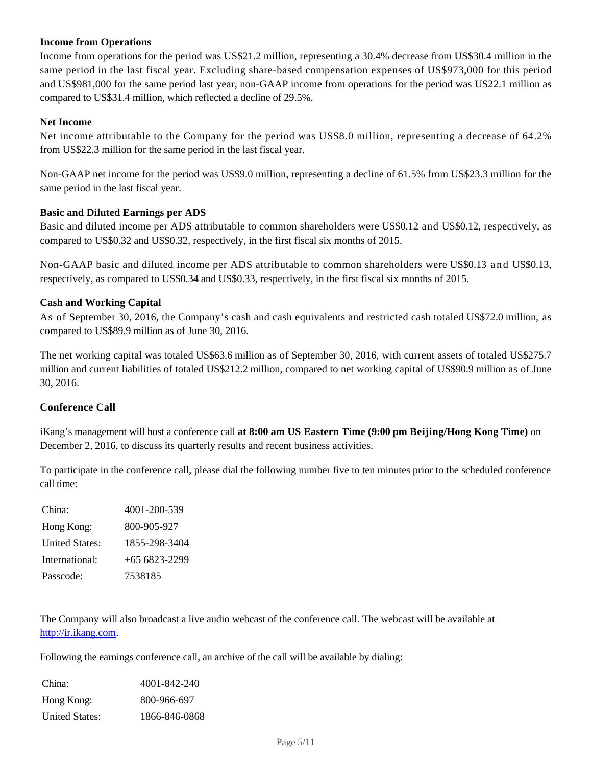## **Income from Operations**

Income from operations for the period was US\$21.2 million, representing a 30.4% decrease from US\$30.4 million in the same period in the last fiscal year. Excluding share-based compensation expenses of US\$973,000 for this period and US\$981,000 for the same period last year, non-GAAP income from operations for the period was US22.1 million as compared to US\$31.4 million, which reflected a decline of 29.5%.

#### **Net Income**

Net income attributable to the Company for the period was US\$8.0 million, representing a decrease of 64.2% from US\$22.3 million for the same period in the last fiscal year.

Non-GAAP net income for the period was US\$9.0 million, representing a decline of 61.5% from US\$23.3 million for the same period in the last fiscal year.

#### **Basic and Diluted Earnings per ADS**

Basic and diluted income per ADS attributable to common shareholders were US\$0.12 and US\$0.12, respectively, as compared to US\$0.32 and US\$0.32, respectively, in the first fiscal six months of 2015.

Non-GAAP basic and diluted income per ADS attributable to common shareholders were US\$0.13 and US\$0.13, respectively, as compared to US\$0.34 and US\$0.33, respectively, in the first fiscal six months of 2015.

## **Cash and Working Capital**

As of September 30, 2016, the Company's cash and cash equivalents and restricted cash totaled US\$72.0 million, as compared to US\$89.9 million as of June 30, 2016.

The net working capital was totaled US\$63.6 million as of September 30, 2016, with current assets of totaled US\$275.7 million and current liabilities of totaled US\$212.2 million, compared to net working capital of US\$90.9 million as of June 30, 2016.

#### **Conference Call**

iKang's management will host a conference call **at 8:00 am US Eastern Time (9:00 pm Beijing/Hong Kong Time)** on December 2, 2016, to discuss its quarterly results and recent business activities.

To participate in the conference call, please dial the following number five to ten minutes prior to the scheduled conference call time:

| China:                | 4001-200-539   |
|-----------------------|----------------|
| Hong Kong:            | 800-905-927    |
| <b>United States:</b> | 1855-298-3404  |
| International:        | $+656823-2299$ |
| Passcode:             | 7538185        |

The Company will also broadcast a live audio webcast of the conference call. The webcast will be available at http://ir.ikang.com.

Following the earnings conference call, an archive of the call will be available by dialing:

| China:                | 4001-842-240  |
|-----------------------|---------------|
| Hong Kong:            | 800-966-697   |
| <b>United States:</b> | 1866-846-0868 |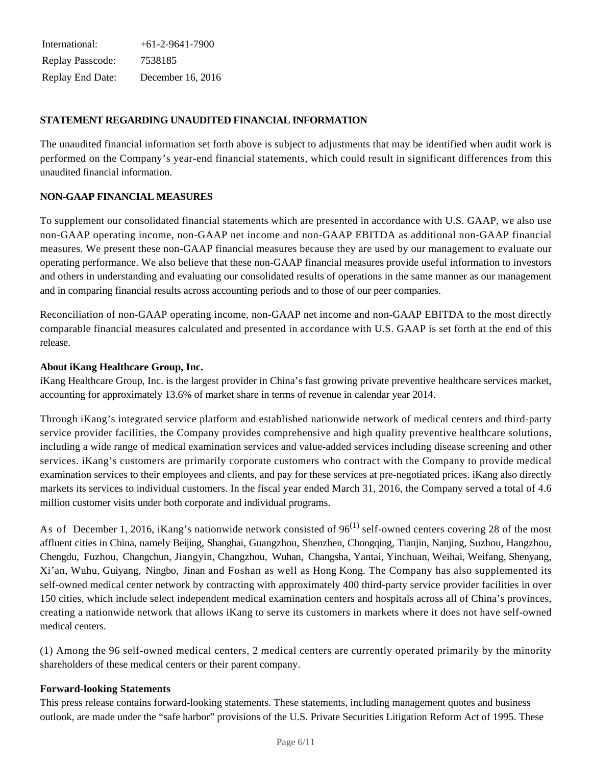International: +61-2-9641-7900 Replay Passcode: 7538185 Replay End Date: December 16, 2016

## **STATEMENT REGARDING UNAUDITED FINANCIAL INFORMATION**

The unaudited financial information set forth above is subject to adjustments that may be identified when audit work is performed on the Company's year-end financial statements, which could result in significant differences from this unaudited financial information.

## **NON-GAAP FINANCIAL MEASURES**

To supplement our consolidated financial statements which are presented in accordance with U.S. GAAP, we also use non-GAAP operating income, non-GAAP net income and non-GAAP EBITDA as additional non-GAAP financial measures. We present these non-GAAP financial measures because they are used by our management to evaluate our operating performance. We also believe that these non-GAAP financial measures provide useful information to investors and others in understanding and evaluating our consolidated results of operations in the same manner as our management and in comparing financial results across accounting periods and to those of our peer companies.

Reconciliation of non-GAAP operating income, non-GAAP net income and non-GAAP EBITDA to the most directly comparable financial measures calculated and presented in accordance with U.S. GAAP is set forth at the end of this release.

#### **About iKang Healthcare Group, Inc.**

iKang Healthcare Group, Inc. is the largest provider in China's fast growing private preventive healthcare services market, accounting for approximately 13.6% of market share in terms of revenue in calendar year 2014.

Through iKang's integrated service platform and established nationwide network of medical centers and third-party service provider facilities, the Company provides comprehensive and high quality preventive healthcare solutions, including a wide range of medical examination services and value-added services including disease screening and other services. iKang's customers are primarily corporate customers who contract with the Company to provide medical examination services to their employees and clients, and pay for these services at pre-negotiated prices. iKang also directly markets its services to individual customers. In the fiscal year ended March 31, 2016, the Company served a total of 4.6 million customer visits under both corporate and individual programs.

As of December 1, 2016, iKang's nationwide network consisted of  $96^{(1)}$  self-owned centers covering 28 of the most affluent cities in China, namely Beijing, Shanghai, Guangzhou, Shenzhen, Chongqing, Tianjin, Nanjing, Suzhou, Hangzhou, Chengdu, Fuzhou, Changchun, Jiangyin, Changzhou, Wuhan, Changsha, Yantai, Yinchuan, Weihai, Weifang, Shenyang, Xi'an, Wuhu, Guiyang, Ningbo, Jinan and Foshan as well as Hong Kong. The Company has also supplemented its self-owned medical center network by contracting with approximately 400 third-party service provider facilities in over 150 cities, which include select independent medical examination centers and hospitals across all of China's provinces, creating a nationwide network that allows iKang to serve its customers in markets where it does not have self-owned medical centers.

(1) Among the 96 self-owned medical centers, 2 medical centers are currently operated primarily by the minority shareholders of these medical centers or their parent company.

#### **Forward-looking Statements**

This press release contains forward-looking statements. These statements, including management quotes and business outlook, are made under the "safe harbor" provisions of the U.S. Private Securities Litigation Reform Act of 1995. These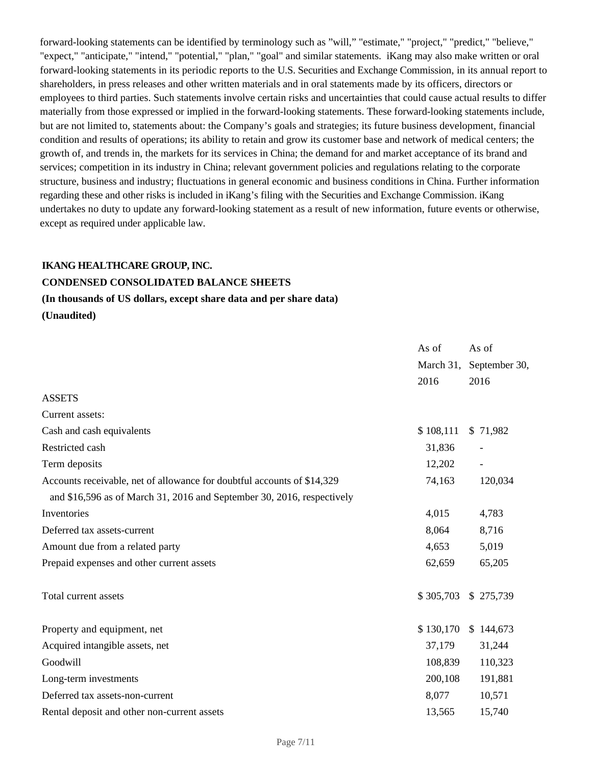forward-looking statements can be identified by terminology such as "will," "estimate," "project," "predict," "believe," "expect," "anticipate," "intend," "potential," "plan," "goal" and similar statements. iKang may also make written or oral forward-looking statements in its periodic reports to the U.S. Securities and Exchange Commission, in its annual report to shareholders, in press releases and other written materials and in oral statements made by its officers, directors or employees to third parties. Such statements involve certain risks and uncertainties that could cause actual results to differ materially from those expressed or implied in the forward-looking statements. These forward-looking statements include, but are not limited to, statements about: the Company's goals and strategies; its future business development, financial condition and results of operations; its ability to retain and grow its customer base and network of medical centers; the growth of, and trends in, the markets for its services in China; the demand for and market acceptance of its brand and services; competition in its industry in China; relevant government policies and regulations relating to the corporate structure, business and industry; fluctuations in general economic and business conditions in China. Further information regarding these and other risks is included in iKang's filing with the Securities and Exchange Commission. iKang undertakes no duty to update any forward-looking statement as a result of new information, future events or otherwise, except as required under applicable law.

#### **IKANG HEALTHCARE GROUP, INC.**

## **CONDENSED CONSOLIDATED BALANCE SHEETS**

### **(In thousands of US dollars, except share data and per share data)**

**(Unaudited)**

|                                                                         | As of     | As of                    |
|-------------------------------------------------------------------------|-----------|--------------------------|
|                                                                         | March 31, | September 30,            |
|                                                                         | 2016      | 2016                     |
| <b>ASSETS</b>                                                           |           |                          |
| Current assets:                                                         |           |                          |
| Cash and cash equivalents                                               | \$108,111 | \$71,982                 |
| Restricted cash                                                         | 31,836    |                          |
| Term deposits                                                           | 12,202    | $\overline{\phantom{a}}$ |
| Accounts receivable, net of allowance for doubtful accounts of \$14,329 | 74,163    | 120,034                  |
| and \$16,596 as of March 31, 2016 and September 30, 2016, respectively  |           |                          |
| Inventories                                                             | 4,015     | 4,783                    |
| Deferred tax assets-current                                             | 8,064     | 8,716                    |
| Amount due from a related party                                         | 4,653     | 5,019                    |
| Prepaid expenses and other current assets                               | 62,659    | 65,205                   |
| Total current assets                                                    | \$305,703 | \$275,739                |
| Property and equipment, net                                             | \$130,170 | \$144,673                |
| Acquired intangible assets, net                                         | 37,179    | 31,244                   |
| Goodwill                                                                | 108,839   | 110,323                  |
| Long-term investments                                                   | 200,108   | 191,881                  |
| Deferred tax assets-non-current                                         | 8,077     | 10,571                   |
| Rental deposit and other non-current assets                             | 13,565    | 15,740                   |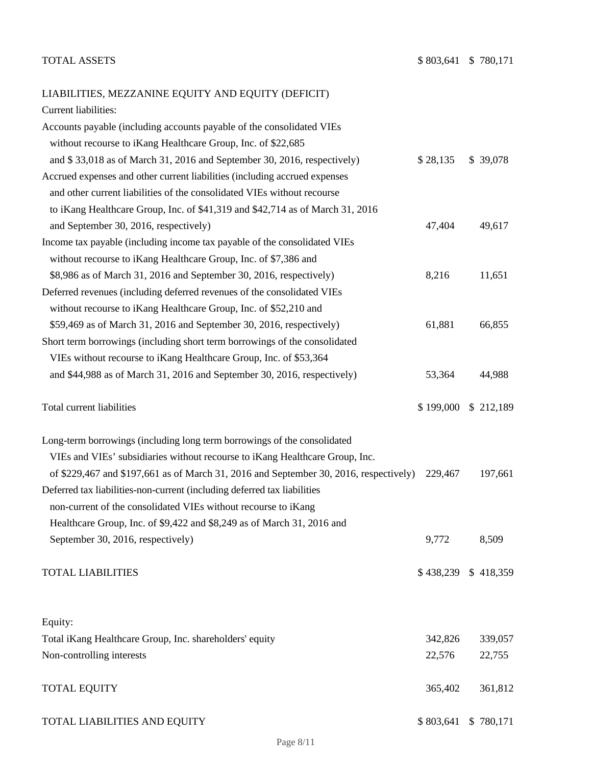# LIABILITIES, MEZZANINE EQUITY AND EQUITY (DEFICIT)

| Current liabilities:                                                                  |           |           |
|---------------------------------------------------------------------------------------|-----------|-----------|
| Accounts payable (including accounts payable of the consolidated VIEs                 |           |           |
| without recourse to iKang Healthcare Group, Inc. of \$22,685                          |           |           |
| and \$33,018 as of March 31, 2016 and September 30, 2016, respectively)               | \$28,135  | \$39,078  |
| Accrued expenses and other current liabilities (including accrued expenses            |           |           |
| and other current liabilities of the consolidated VIEs without recourse               |           |           |
| to iKang Healthcare Group, Inc. of \$41,319 and \$42,714 as of March 31, 2016         |           |           |
| and September 30, 2016, respectively)                                                 | 47,404    | 49,617    |
| Income tax payable (including income tax payable of the consolidated VIEs             |           |           |
| without recourse to iKang Healthcare Group, Inc. of \$7,386 and                       |           |           |
| \$8,986 as of March 31, 2016 and September 30, 2016, respectively)                    | 8,216     | 11,651    |
| Deferred revenues (including deferred revenues of the consolidated VIEs               |           |           |
| without recourse to iKang Healthcare Group, Inc. of \$52,210 and                      |           |           |
| \$59,469 as of March 31, 2016 and September 30, 2016, respectively)                   | 61,881    | 66,855    |
| Short term borrowings (including short term borrowings of the consolidated            |           |           |
| VIEs without recourse to iKang Healthcare Group, Inc. of \$53,364                     |           |           |
| and \$44,988 as of March 31, 2016 and September 30, 2016, respectively)               | 53,364    | 44,988    |
| Total current liabilities                                                             | \$199,000 | \$212,189 |
| Long-term borrowings (including long term borrowings of the consolidated              |           |           |
| VIEs and VIEs' subsidiaries without recourse to iKang Healthcare Group, Inc.          |           |           |
| of \$229,467 and \$197,661 as of March 31, 2016 and September 30, 2016, respectively) | 229,467   | 197,661   |
| Deferred tax liabilities-non-current (including deferred tax liabilities              |           |           |
| non-current of the consolidated VIEs without recourse to iKang                        |           |           |
| Healthcare Group, Inc. of \$9,422 and \$8,249 as of March 31, 2016 and                |           |           |
| September 30, 2016, respectively)                                                     | 9,772     | 8,509     |
| <b>TOTAL LIABILITIES</b>                                                              | \$438,239 | \$418,359 |
| Equity:                                                                               |           |           |
| Total iKang Healthcare Group, Inc. shareholders' equity                               | 342,826   | 339,057   |
| Non-controlling interests                                                             | 22,576    | 22,755    |
| <b>TOTAL EQUITY</b>                                                                   | 365,402   | 361,812   |
|                                                                                       |           |           |

TOTAL LIABILITIES AND EQUITY \$ 803,641 \$ 780,171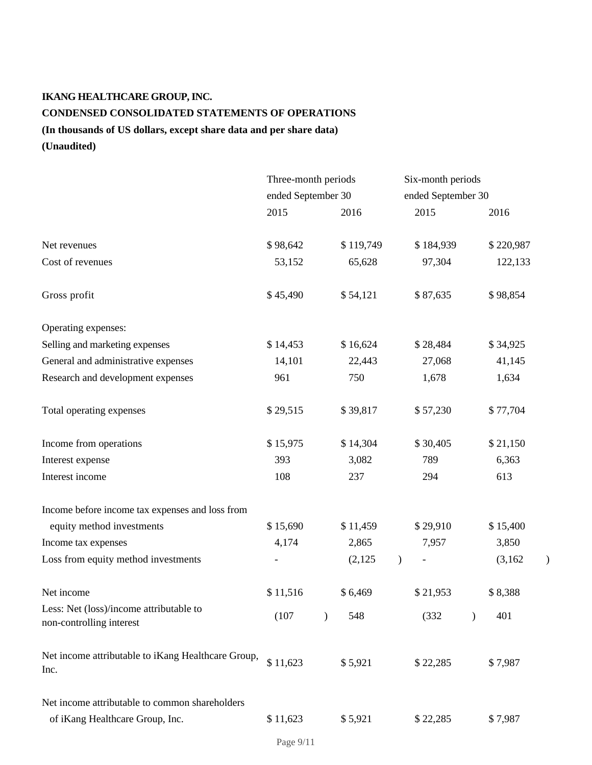# **IKANG HEALTHCARE GROUP, INC. CONDENSED CONSOLIDATED STATEMENTS OF OPERATIONS (In thousands of US dollars, except share data and per share data)**

**(Unaudited)**

|                                                                     | Three-month periods |  |                    | Six-month periods |               |  |           |   |
|---------------------------------------------------------------------|---------------------|--|--------------------|-------------------|---------------|--|-----------|---|
|                                                                     | ended September 30  |  | ended September 30 |                   |               |  |           |   |
|                                                                     | 2015                |  | 2016               |                   | 2015          |  | 2016      |   |
| Net revenues                                                        | \$98,642            |  | \$119,749          |                   | \$184,939     |  | \$220,987 |   |
| Cost of revenues                                                    | 53,152              |  | 65,628             |                   | 97,304        |  | 122,133   |   |
| Gross profit                                                        | \$45,490            |  | \$54,121           |                   | \$87,635      |  | \$98,854  |   |
| Operating expenses:                                                 |                     |  |                    |                   |               |  |           |   |
| Selling and marketing expenses                                      | \$14,453            |  | \$16,624           |                   | \$28,484      |  | \$34,925  |   |
| General and administrative expenses                                 | 14,101              |  | 22,443             |                   | 27,068        |  | 41,145    |   |
| Research and development expenses                                   | 961                 |  | 750                |                   | 1,678         |  | 1,634     |   |
| Total operating expenses                                            | \$29,515            |  | \$39,817           |                   | \$57,230      |  | \$77,704  |   |
| Income from operations                                              | \$15,975            |  | \$14,304           |                   | \$30,405      |  | \$21,150  |   |
| Interest expense                                                    | 393                 |  | 3,082              |                   | 789           |  | 6,363     |   |
| Interest income                                                     | 108                 |  | 237                |                   | 294           |  | 613       |   |
| Income before income tax expenses and loss from                     |                     |  |                    |                   |               |  |           |   |
| equity method investments                                           | \$15,690            |  | \$11,459           |                   | \$29,910      |  | \$15,400  |   |
| Income tax expenses                                                 | 4,174               |  | 2,865              |                   | 7,957         |  | 3,850     |   |
| Loss from equity method investments                                 |                     |  | (2,125)            | $\mathcal{L}$     | $\frac{1}{2}$ |  | (3,162)   | ) |
| Net income                                                          | \$11,516            |  | \$6,469            |                   | \$21,953      |  | \$8,388   |   |
| Less: Net (loss)/income attributable to<br>non-controlling interest | (107)               |  | 548                |                   | (332)         |  | 401       |   |
| Net income attributable to iKang Healthcare Group,<br>Inc.          | \$11,623            |  | \$5,921            |                   | \$22,285      |  | \$7,987   |   |
| Net income attributable to common shareholders                      |                     |  |                    |                   |               |  |           |   |
| of iKang Healthcare Group, Inc.                                     | \$11,623            |  | \$5,921            |                   | \$22,285      |  | \$7,987   |   |

Page 9/11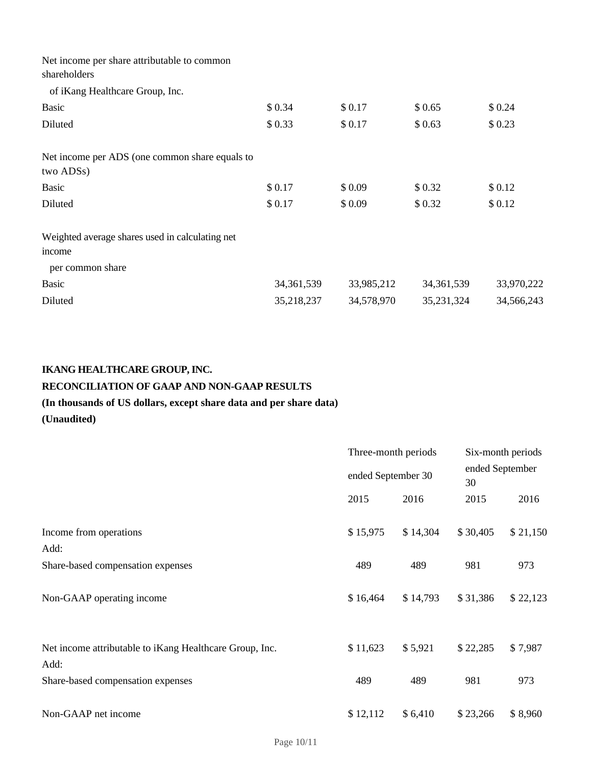| Net income per share attributable to common<br>shareholders |              |            |              |            |
|-------------------------------------------------------------|--------------|------------|--------------|------------|
| of iKang Healthcare Group, Inc.                             |              |            |              |            |
| <b>Basic</b>                                                | \$0.34       | \$0.17     | \$0.65       | \$0.24     |
| Diluted                                                     | \$0.33       | \$0.17     | \$0.63       | \$0.23     |
| Net income per ADS (one common share equals to<br>two ADSs) |              |            |              |            |
| Basic                                                       | \$0.17       | \$0.09     | \$0.32       | \$0.12     |
| Diluted                                                     | \$0.17       | \$0.09     | \$0.32       | \$0.12     |
| Weighted average shares used in calculating net             |              |            |              |            |
| income<br>per common share                                  |              |            |              |            |
| <b>Basic</b>                                                | 34, 361, 539 | 33,985,212 | 34, 361, 539 | 33,970,222 |
| Diluted                                                     | 35,218,237   | 34,578,970 | 35,231,324   | 34,566,243 |
|                                                             |              |            |              |            |

# **IKANG HEALTHCARE GROUP, INC.**

# **RECONCILIATION OF GAAP AND NON-GAAP RESULTS**

# **(In thousands of US dollars, except share data and per share data)**

# **(Unaudited)**

|                                                                 | Three-month periods |                    |          | Six-month periods |  |  |
|-----------------------------------------------------------------|---------------------|--------------------|----------|-------------------|--|--|
|                                                                 |                     | ended September 30 |          | ended September   |  |  |
|                                                                 | 2015                | 2016               | 2015     | 2016              |  |  |
| Income from operations                                          | \$15,975            | \$14,304           | \$30,405 | \$21,150          |  |  |
| Add:                                                            |                     |                    |          |                   |  |  |
| Share-based compensation expenses                               | 489                 | 489                | 981      | 973               |  |  |
| Non-GAAP operating income                                       | \$16,464            | \$14,793           | \$31,386 | \$22,123          |  |  |
| Net income attributable to iKang Healthcare Group, Inc.<br>Add: | \$11,623            | \$5,921            | \$22,285 | \$7,987           |  |  |
| Share-based compensation expenses                               | 489                 | 489                | 981      | 973               |  |  |
| Non-GAAP net income                                             | \$12,112            | \$6,410            | \$23,266 | \$8,960           |  |  |